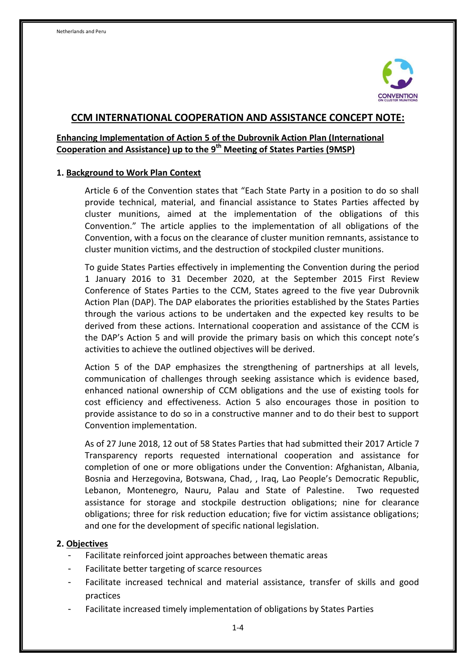

# **CCM INTERNATIONAL COOPERATION AND ASSISTANCE CONCEPT NOTE:**

# **Enhancing Implementation of Action 5 of the Dubrovnik Action Plan (International Cooperation and Assistance) up to the 9 th Meeting of States Parties (9MSP)**

#### **1. Background to Work Plan Context**

Article 6 of the Convention states that "Each State Party in a position to do so shall provide technical, material, and financial assistance to States Parties affected by cluster munitions, aimed at the implementation of the obligations of this Convention." The article applies to the implementation of all obligations of the Convention, with a focus on the clearance of cluster munition remnants, assistance to cluster munition victims, and the destruction of stockpiled cluster munitions.

To guide States Parties effectively in implementing the Convention during the period 1 January 2016 to 31 December 2020, at the September 2015 First Review Conference of States Parties to the CCM, States agreed to the five year Dubrovnik Action Plan (DAP). The DAP elaborates the priorities established by the States Parties through the various actions to be undertaken and the expected key results to be derived from these actions. International cooperation and assistance of the CCM is the DAP's Action 5 and will provide the primary basis on which this concept note's activities to achieve the outlined objectives will be derived.

Action 5 of the DAP emphasizes the strengthening of partnerships at all levels, communication of challenges through seeking assistance which is evidence based, enhanced national ownership of CCM obligations and the use of existing tools for cost efficiency and effectiveness. Action 5 also encourages those in position to provide assistance to do so in a constructive manner and to do their best to support Convention implementation.

As of 27 June 2018, 12 out of 58 States Parties that had submitted their 2017 Article 7 Transparency reports requested international cooperation and assistance for completion of one or more obligations under the Convention: Afghanistan, Albania, Bosnia and Herzegovina, Botswana, Chad, , Iraq, Lao People's Democratic Republic, Lebanon, Montenegro, Nauru, Palau and State of Palestine. Two requested assistance for storage and stockpile destruction obligations; nine for clearance obligations; three for risk reduction education; five for victim assistance obligations; and one for the development of specific national legislation.

## **2. Objectives**

- Facilitate reinforced joint approaches between thematic areas
- Facilitate better targeting of scarce resources
- Facilitate increased technical and material assistance, transfer of skills and good practices
- Facilitate increased timely implementation of obligations by States Parties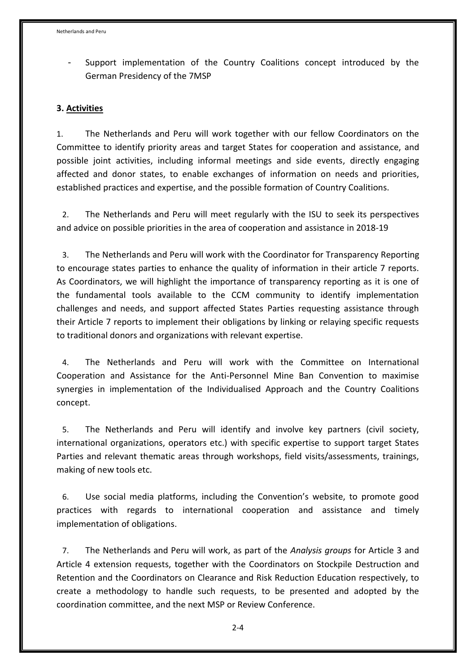Support implementation of the Country Coalitions concept introduced by the German Presidency of the 7MSP

#### **3. Activities**

1. The Netherlands and Peru will work together with our fellow Coordinators on the Committee to identify priority areas and target States for cooperation and assistance, and possible joint activities, including informal meetings and side events, directly engaging affected and donor states, to enable exchanges of information on needs and priorities, established practices and expertise, and the possible formation of Country Coalitions.

2. The Netherlands and Peru will meet regularly with the ISU to seek its perspectives and advice on possible priorities in the area of cooperation and assistance in 2018-19

3. The Netherlands and Peru will work with the Coordinator for Transparency Reporting to encourage states parties to enhance the quality of information in their article 7 reports. As Coordinators, we will highlight the importance of transparency reporting as it is one of the fundamental tools available to the CCM community to identify implementation challenges and needs, and support affected States Parties requesting assistance through their Article 7 reports to implement their obligations by linking or relaying specific requests to traditional donors and organizations with relevant expertise.

4. The Netherlands and Peru will work with the Committee on International Cooperation and Assistance for the Anti-Personnel Mine Ban Convention to maximise synergies in implementation of the Individualised Approach and the Country Coalitions concept.

5. The Netherlands and Peru will identify and involve key partners (civil society, international organizations, operators etc.) with specific expertise to support target States Parties and relevant thematic areas through workshops, field visits/assessments, trainings, making of new tools etc.

6. Use social media platforms, including the Convention's website, to promote good practices with regards to international cooperation and assistance and timely implementation of obligations.

7. The Netherlands and Peru will work, as part of the *Analysis groups* for Article 3 and Article 4 extension requests, together with the Coordinators on Stockpile Destruction and Retention and the Coordinators on Clearance and Risk Reduction Education respectively, to create a methodology to handle such requests, to be presented and adopted by the coordination committee, and the next MSP or Review Conference.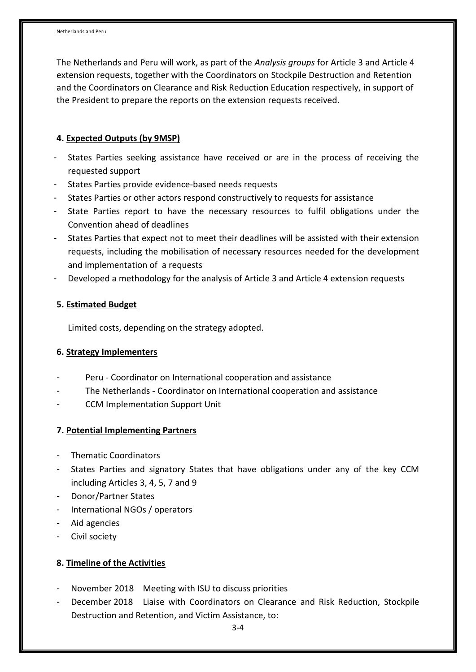The Netherlands and Peru will work, as part of the *Analysis groups* for Article 3 and Article 4 extension requests, together with the Coordinators on Stockpile Destruction and Retention and the Coordinators on Clearance and Risk Reduction Education respectively, in support of the President to prepare the reports on the extension requests received.

## **4. Expected Outputs (by 9MSP)**

- States Parties seeking assistance have received or are in the process of receiving the requested support
- States Parties provide evidence-based needs requests
- States Parties or other actors respond constructively to requests for assistance
- State Parties report to have the necessary resources to fulfil obligations under the Convention ahead of deadlines
- States Parties that expect not to meet their deadlines will be assisted with their extension requests, including the mobilisation of necessary resources needed for the development and implementation of a requests
- Developed a methodology for the analysis of Article 3 and Article 4 extension requests

#### **5. Estimated Budget**

Limited costs, depending on the strategy adopted.

#### **6. Strategy Implementers**

- Peru Coordinator on International cooperation and assistance
- The Netherlands Coordinator on International cooperation and assistance
- CCM Implementation Support Unit

## **7. Potential Implementing Partners**

- Thematic Coordinators
- States Parties and signatory States that have obligations under any of the key CCM including Articles 3, 4, 5, 7 and 9
- Donor/Partner States
- International NGOs / operators
- Aid agencies
- Civil society

## **8. Timeline of the Activities**

- November 2018 Meeting with ISU to discuss priorities
- December 2018 Liaise with Coordinators on Clearance and Risk Reduction, Stockpile Destruction and Retention, and Victim Assistance, to: